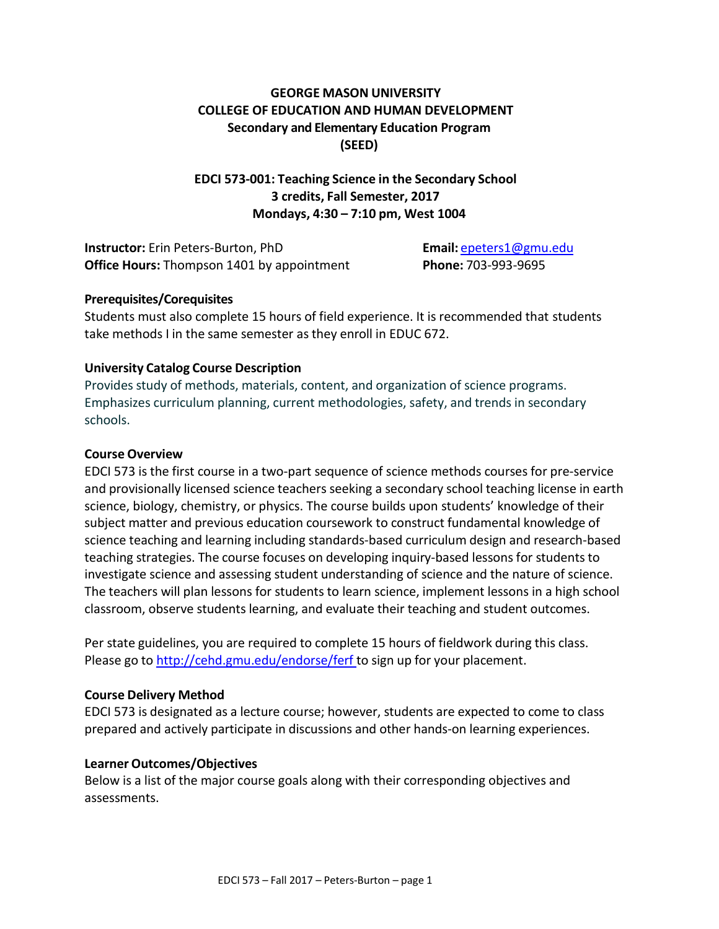## **GEORGE MASON UNIVERSITY COLLEGE OF EDUCATION AND HUMAN DEVELOPMENT Secondary and Elementary Education Program (SEED)**

## **EDCI 573-001: Teaching Science in the Secondary School 3 credits, Fall Semester, 2017 Mondays, 4:30 – 7:10 pm, West 1004**

**Instructor:** Erin Peters-Burton, PhD **Email:** [epeters1@gmu.edu](mailto:epeters1@gmu.edu) **Office Hours:** Thompson 1401 by appointment **Phone:** 703-993-9695

#### **Prerequisites/Corequisites**

Students must also complete 15 hours of field experience. It is recommended that students take methods I in the same semester as they enroll in EDUC 672.

#### **University Catalog Course Description**

Provides study of methods, materials, content, and organization of science programs. Emphasizes curriculum planning, current methodologies, safety, and trends in secondary schools.

#### **Course Overview**

EDCI 573 is the first course in a two-part sequence of science methods courses for pre-service and provisionally licensed science teachers seeking a secondary school teaching license in earth science, biology, chemistry, or physics. The course builds upon students' knowledge of their subject matter and previous education coursework to construct fundamental knowledge of science teaching and learning including standards-based curriculum design and research-based teaching strategies. The course focuses on developing inquiry-based lessons for students to investigate science and assessing student understanding of science and the nature of science. The teachers will plan lessons for students to learn science, implement lessons in a high school classroom, observe students learning, and evaluate their teaching and student outcomes.

Per state guidelines, you are required to complete 15 hours of fieldwork during this class. Please go to <http://cehd.gmu.edu/endorse/ferf> to sign up for your placement.

#### **Course Delivery Method**

EDCI 573 is designated as a lecture course; however, students are expected to come to class prepared and actively participate in discussions and other hands-on learning experiences.

#### **Learner Outcomes/Objectives**

Below is a list of the major course goals along with their corresponding objectives and assessments.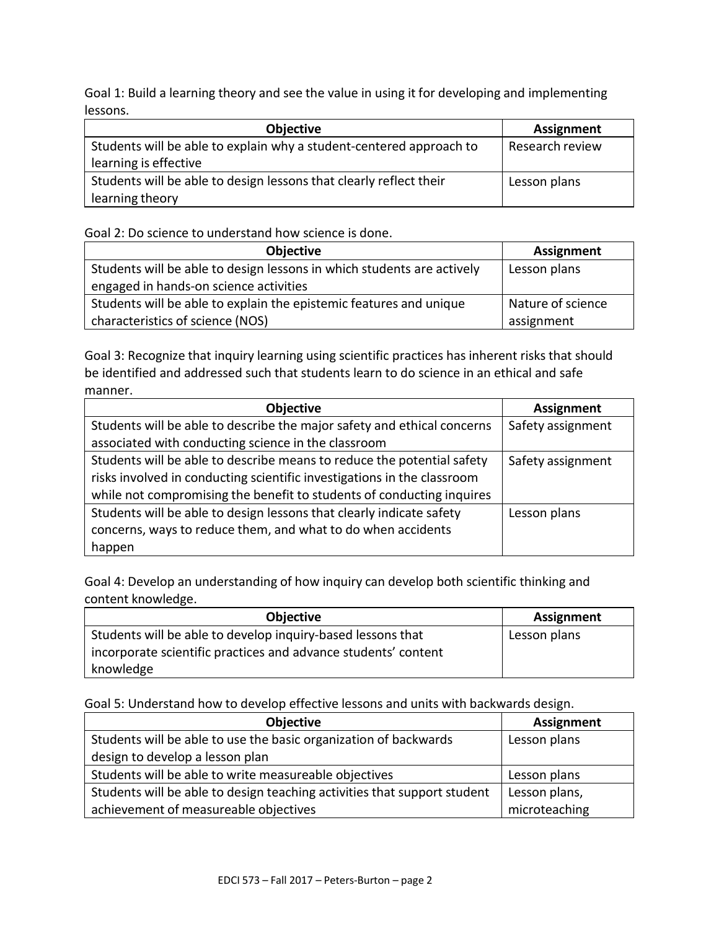Goal 1: Build a learning theory and see the value in using it for developing and implementing lessons.

| <b>Objective</b>                                                    | Assignment      |
|---------------------------------------------------------------------|-----------------|
| Students will be able to explain why a student-centered approach to | Research review |
| learning is effective                                               |                 |
| Students will be able to design lessons that clearly reflect their  | Lesson plans    |
| learning theory                                                     |                 |

Goal 2: Do science to understand how science is done.

| <b>Objective</b>                                                       | Assignment        |
|------------------------------------------------------------------------|-------------------|
| Students will be able to design lessons in which students are actively | Lesson plans      |
| engaged in hands-on science activities                                 |                   |
| Students will be able to explain the epistemic features and unique     | Nature of science |
| characteristics of science (NOS)                                       | assignment        |

Goal 3: Recognize that inquiry learning using scientific practices has inherent risks that should be identified and addressed such that students learn to do science in an ethical and safe manner.

| Objective                                                               | <b>Assignment</b> |
|-------------------------------------------------------------------------|-------------------|
| Students will be able to describe the major safety and ethical concerns | Safety assignment |
| associated with conducting science in the classroom                     |                   |
| Students will be able to describe means to reduce the potential safety  | Safety assignment |
| risks involved in conducting scientific investigations in the classroom |                   |
| while not compromising the benefit to students of conducting inquires   |                   |
| Students will be able to design lessons that clearly indicate safety    | Lesson plans      |
| concerns, ways to reduce them, and what to do when accidents            |                   |
| happen                                                                  |                   |

Goal 4: Develop an understanding of how inquiry can develop both scientific thinking and content knowledge.

| <b>Objective</b>                                               | Assignment   |
|----------------------------------------------------------------|--------------|
| Students will be able to develop inquiry-based lessons that    | Lesson plans |
| incorporate scientific practices and advance students' content |              |
| knowledge                                                      |              |

Goal 5: Understand how to develop effective lessons and units with backwards design.

| Objective                                                                | <b>Assignment</b> |
|--------------------------------------------------------------------------|-------------------|
| Students will be able to use the basic organization of backwards         | Lesson plans      |
| design to develop a lesson plan                                          |                   |
| Students will be able to write measureable objectives                    | Lesson plans      |
| Students will be able to design teaching activities that support student | Lesson plans,     |
| achievement of measureable objectives                                    | microteaching     |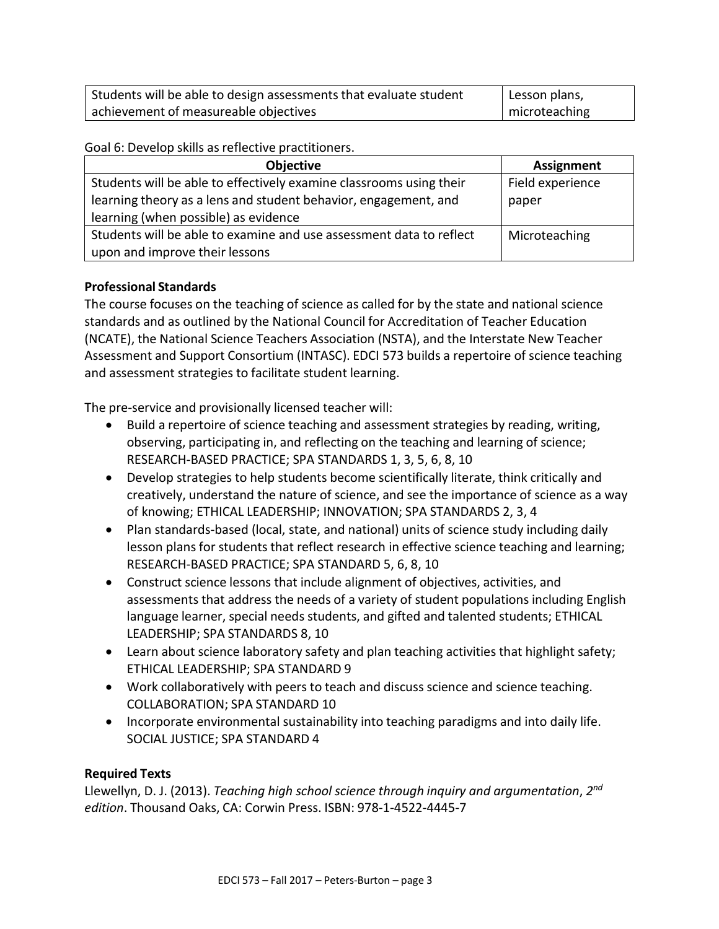| Students will be able to design assessments that evaluate student | $\perp$ Lesson plans, |
|-------------------------------------------------------------------|-----------------------|
| achievement of measureable objectives                             | microteaching         |

Goal 6: Develop skills as reflective practitioners.

| <b>Objective</b>                                                    | <b>Assignment</b> |
|---------------------------------------------------------------------|-------------------|
| Students will be able to effectively examine classrooms using their | Field experience  |
| learning theory as a lens and student behavior, engagement, and     | paper             |
| learning (when possible) as evidence                                |                   |
| Students will be able to examine and use assessment data to reflect | Microteaching     |
| upon and improve their lessons                                      |                   |

## **Professional Standards**

The course focuses on the teaching of science as called for by the state and national science standards and as outlined by the National Council for Accreditation of Teacher Education (NCATE), the National Science Teachers Association (NSTA), and the Interstate New Teacher Assessment and Support Consortium (INTASC). EDCI 573 builds a repertoire of science teaching and assessment strategies to facilitate student learning.

The pre-service and provisionally licensed teacher will:

- Build a repertoire of science teaching and assessment strategies by reading, writing, observing, participating in, and reflecting on the teaching and learning of science; RESEARCH-BASED PRACTICE; SPA STANDARDS 1, 3, 5, 6, 8, 10
- Develop strategies to help students become scientifically literate, think critically and creatively, understand the nature of science, and see the importance of science as a way of knowing; ETHICAL LEADERSHIP; INNOVATION; SPA STANDARDS 2, 3, 4
- Plan standards-based (local, state, and national) units of science study including daily lesson plans for students that reflect research in effective science teaching and learning; RESEARCH-BASED PRACTICE; SPA STANDARD 5, 6, 8, 10
- Construct science lessons that include alignment of objectives, activities, and assessments that address the needs of a variety of student populations including English language learner, special needs students, and gifted and talented students; ETHICAL LEADERSHIP; SPA STANDARDS 8, 10
- Learn about science laboratory safety and plan teaching activities that highlight safety; ETHICAL LEADERSHIP; SPA STANDARD 9
- Work collaboratively with peers to teach and discuss science and science teaching. COLLABORATION; SPA STANDARD 10
- Incorporate environmental sustainability into teaching paradigms and into daily life. SOCIAL JUSTICE; SPA STANDARD 4

#### **Required Texts**

Llewellyn, D. J. (2013). *Teaching high school science through inquiry and argumentation*, *2nd edition*. Thousand Oaks, CA: Corwin Press. ISBN: 978-1-4522-4445-7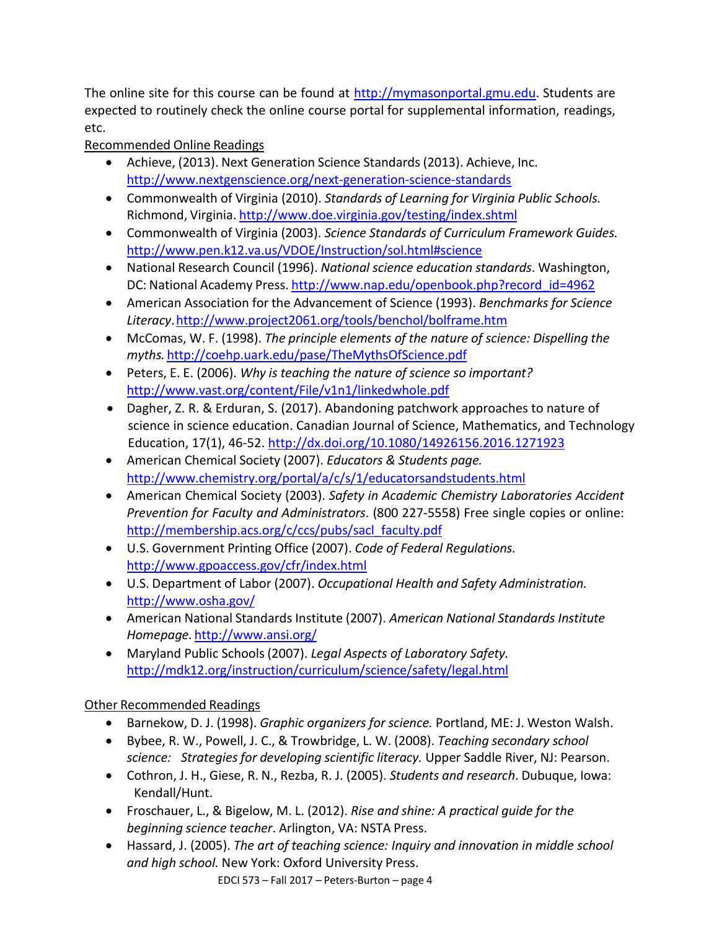The online site for this course can be found at [http://mymasonportal.gmu.edu.](http://mymasonportal.gmu.edu/) Students are expected to routinely check the online course portal for supplemental information, readings, etc.

# Recommended Online Readings

- Achieve, (2013). Next Generation Science Standards (2013). Achieve, Inc. <http://www.nextgenscience.org/next-generation-science-standards>
- Commonwealth of Virginia (2010). *Standards of Learning for Virginia Public Schools.* Richmond, Virginia. <http://www.doe.virginia.gov/testing/index.shtml>
- Commonwealth of Virginia (2003). *Science Standards of Curriculum Framework Guides.* [http://www.pen.k12.va.us/VDOE/Instruction/sol.html#science](http://www.pen.k12.va.us/VDOE/Instruction/sol.html%23science)
- National Research Council (1996). *National science education standards*. Washington, DC: National Academy Press. [http://www.nap.edu/openbook.php?record\\_id=4962](http://www.nap.edu/openbook.php?record_id=4962)
- American Association for the Advancement of Science (1993). *Benchmarks for Science Literacy*[.http://www.project2061.org/tools/benchol/bolframe.htm](http://www.project2061.org/tools/benchol/bolframe.htm)
- McComas, W. F. (1998). *The principle elements of the nature of science: Dispelling the myths.* <http://coehp.uark.edu/pase/TheMythsOfScience.pdf>
- Peters, E. E. (2006). *Why is teaching the nature of science so important?* <http://www.vast.org/content/File/v1n1/linkedwhole.pdf>
- Dagher, Z. R. & Erduran, S. (2017). Abandoning patchwork approaches to nature of science in science education. Canadian Journal of Science, Mathematics, and Technology Education, 17(1), 46-52.<http://dx.doi.org/10.1080/14926156.2016.1271923>
- American Chemical Society (2007). *Educators & Students page.* <http://www.chemistry.org/portal/a/c/s/1/educatorsandstudents.html>
- American Chemical Society (2003). *Safety in Academic Chemistry Laboratories Accident Prevention for Faculty and Administrators*. (800 227-5558) Free single copies or online: [http://membership.acs.org/c/ccs/pubs/sacl\\_faculty.pdf](http://membership.acs.org/c/ccs/pubs/sacl_faculty.pdf)
- U.S. Government Printing Office (2007). *Code of Federal Regulations.* <http://www.gpoaccess.gov/cfr/index.html>
- U.S. Department of Labor (2007). *Occupational Health and Safety Administration.* <http://www.osha.gov/>
- American National Standards Institute (2007). *American National Standards Institute Homepage.* <http://www.ansi.org/>
- Maryland Public Schools(2007). *Legal Aspects of Laboratory Safety.* <http://mdk12.org/instruction/curriculum/science/safety/legal.html>

# Other Recommended Readings

- Barnekow, D. J. (1998). *Graphic organizers for science.* Portland, ME: J. Weston Walsh.
- Bybee, R. W., Powell, J. C., & Trowbridge, L. W. (2008). *Teaching secondary school science: Strategies for developing scientific literacy.* Upper Saddle River, NJ: Pearson.
- Cothron, J. H., Giese, R. N., Rezba, R. J. (2005). *Students and research*. Dubuque, Iowa: Kendall/Hunt.
- Froschauer, L., & Bigelow, M. L. (2012). *Rise and shine: A practical guide for the beginning science teacher*. Arlington, VA: NSTA Press.
- Hassard, J. (2005). *The art of teaching science: Inquiry and innovation in middle school and high school.* New York: Oxford University Press.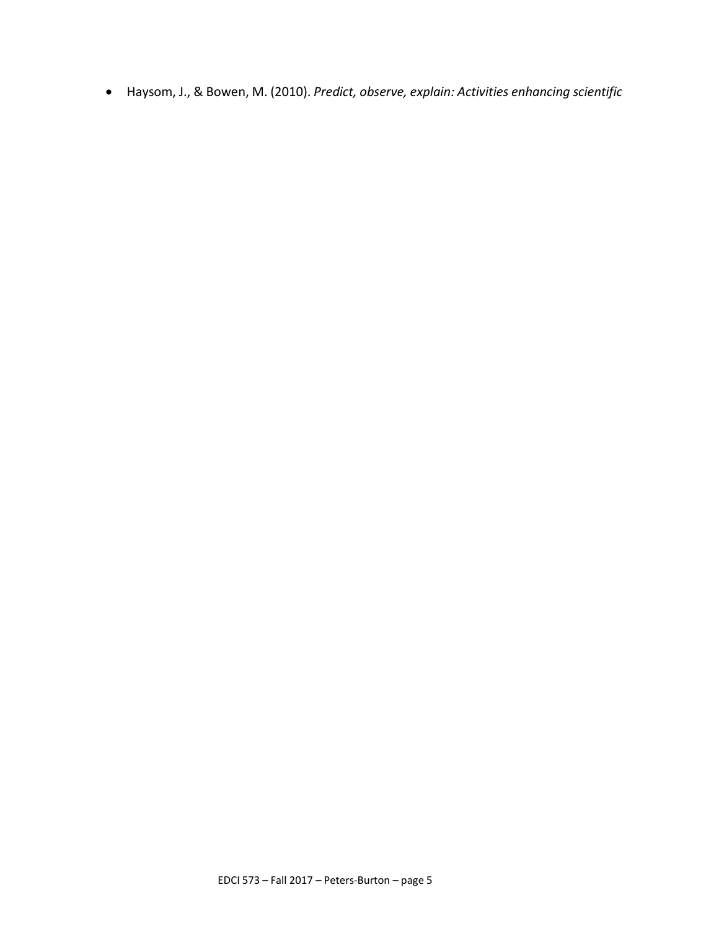• Haysom, J., & Bowen, M. (2010). *Predict, observe, explain: Activities enhancing scientific*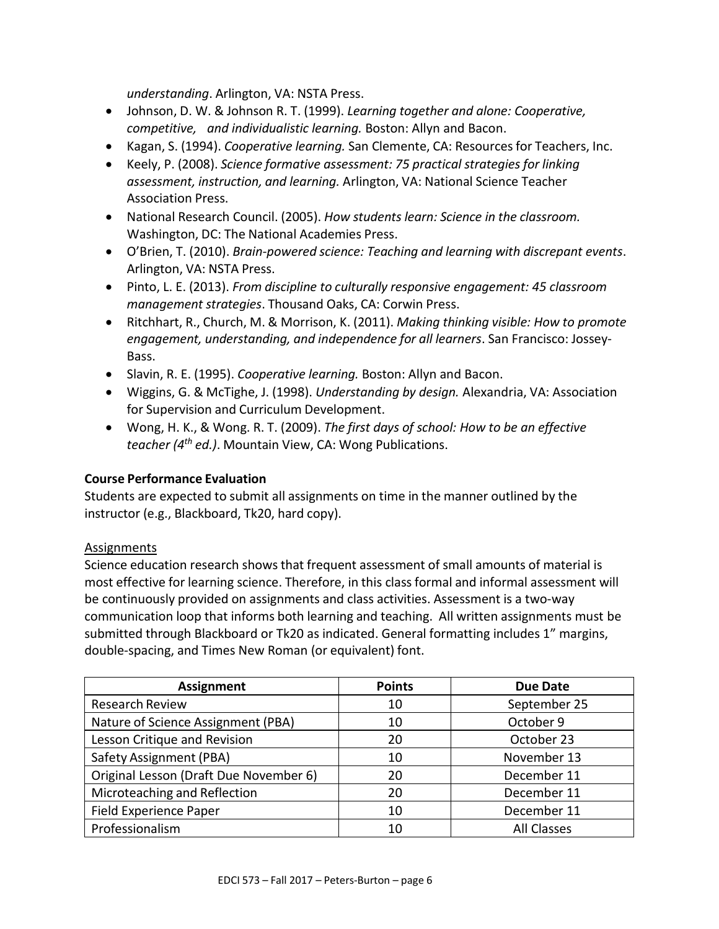*understanding*. Arlington, VA: NSTA Press.

- Johnson, D. W. & Johnson R. T. (1999). *Learning together and alone: Cooperative, competitive, and individualistic learning.* Boston: Allyn and Bacon.
- Kagan, S. (1994). *Cooperative learning.* San Clemente, CA: Resourcesfor Teachers, Inc.
- Keely, P. (2008). *Science formative assessment: 75 practical strategies for linking assessment, instruction, and learning.* Arlington, VA: National Science Teacher Association Press.
- National Research Council. (2005). *How students learn: Science in the classroom.* Washington, DC: The National Academies Press.
- O'Brien, T. (2010). *Brain-powered science: Teaching and learning with discrepant events*. Arlington, VA: NSTA Press.
- Pinto, L. E. (2013). *From discipline to culturally responsive engagement: 45 classroom management strategies*. Thousand Oaks, CA: Corwin Press.
- Ritchhart, R., Church, M. & Morrison, K. (2011). *Making thinking visible: How to promote engagement, understanding, and independence for all learners*. San Francisco: Jossey-Bass.
- Slavin, R. E. (1995). *Cooperative learning.* Boston: Allyn and Bacon.
- Wiggins, G. & McTighe, J. (1998). *Understanding by design.* Alexandria, VA: Association for Supervision and Curriculum Development.
- Wong, H. K., & Wong. R. T. (2009). *The first days of school: How to be an effective teacher (4th ed.)*. Mountain View, CA: Wong Publications.

#### **Course Performance Evaluation**

Students are expected to submit all assignments on time in the manner outlined by the instructor (e.g., Blackboard, Tk20, hard copy).

#### Assignments

Science education research shows that frequent assessment of small amounts of material is most effective for learning science. Therefore, in this class formal and informal assessment will be continuously provided on assignments and class activities. Assessment is a two-way communication loop that informs both learning and teaching. All written assignments must be submitted through Blackboard or Tk20 as indicated. General formatting includes 1" margins, double-spacing, and Times New Roman (or equivalent) font.

| <b>Assignment</b>                      | <b>Points</b> | Due Date           |
|----------------------------------------|---------------|--------------------|
| <b>Research Review</b>                 | 10            | September 25       |
| Nature of Science Assignment (PBA)     | 10            | October 9          |
| Lesson Critique and Revision           | 20            | October 23         |
| Safety Assignment (PBA)                | 10            | November 13        |
| Original Lesson (Draft Due November 6) | 20            | December 11        |
| Microteaching and Reflection           | 20            | December 11        |
| Field Experience Paper                 | 10            | December 11        |
| Professionalism                        | 10            | <b>All Classes</b> |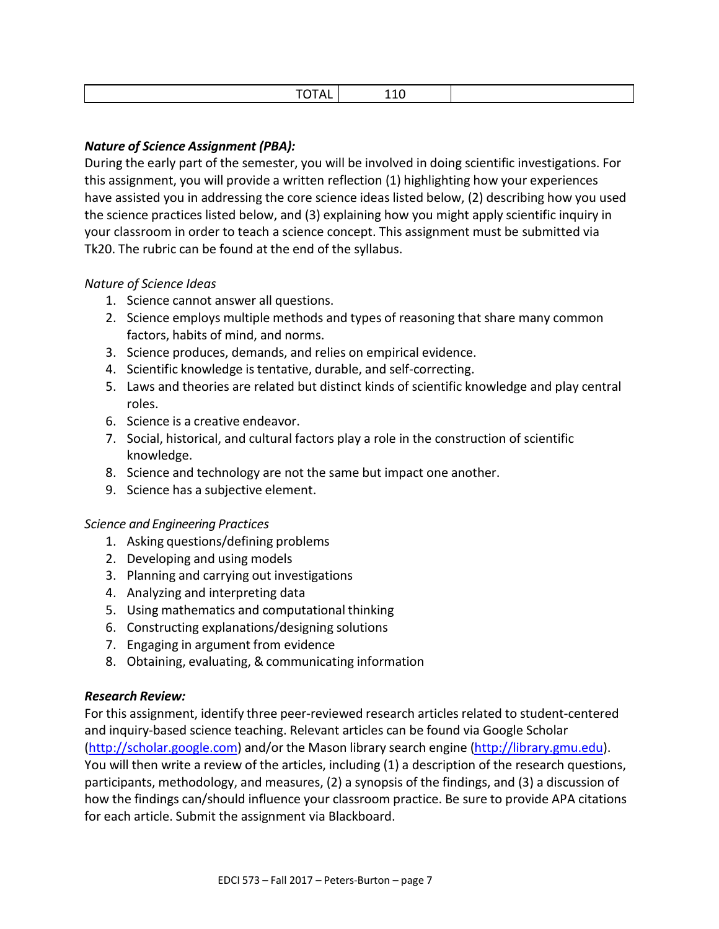| . .<br>. |
|----------|
|----------|

## *Nature of Science Assignment (PBA):*

During the early part of the semester, you will be involved in doing scientific investigations. For this assignment, you will provide a written reflection (1) highlighting how your experiences have assisted you in addressing the core science ideas listed below, (2) describing how you used the science practices listed below, and (3) explaining how you might apply scientific inquiry in your classroom in order to teach a science concept. This assignment must be submitted via Tk20. The rubric can be found at the end of the syllabus.

## *Nature of Science Ideas*

- 1. Science cannot answer all questions.
- 2. Science employs multiple methods and types of reasoning that share many common factors, habits of mind, and norms.
- 3. Science produces, demands, and relies on empirical evidence.
- 4. Scientific knowledge istentative, durable, and self-correcting.
- 5. Laws and theories are related but distinct kinds of scientific knowledge and play central roles.
- 6. Science is a creative endeavor.
- 7. Social, historical, and cultural factors play a role in the construction of scientific knowledge.
- 8. Science and technology are not the same but impact one another.
- 9. Science has a subjective element.

#### *Science and Engineering Practices*

- 1. Asking questions/defining problems
- 2. Developing and using models
- 3. Planning and carrying out investigations
- 4. Analyzing and interpreting data
- 5. Using mathematics and computational thinking
- 6. Constructing explanations/designing solutions
- 7. Engaging in argument from evidence
- 8. Obtaining, evaluating, & communicating information

#### *Research Review:*

For this assignment, identify three peer-reviewed research articles related to student-centered and inquiry-based science teaching. Relevant articles can be found via Google Scholar [\(http://scholar.google.com\)](http://scholar.google.com/) and/or the Mason library search engine [\(http://library.gmu.edu\)](http://library.gmu.edu/). You will then write a review of the articles, including (1) a description of the research questions, participants, methodology, and measures, (2) a synopsis of the findings, and (3) a discussion of how the findings can/should influence your classroom practice. Be sure to provide APA citations for each article. Submit the assignment via Blackboard.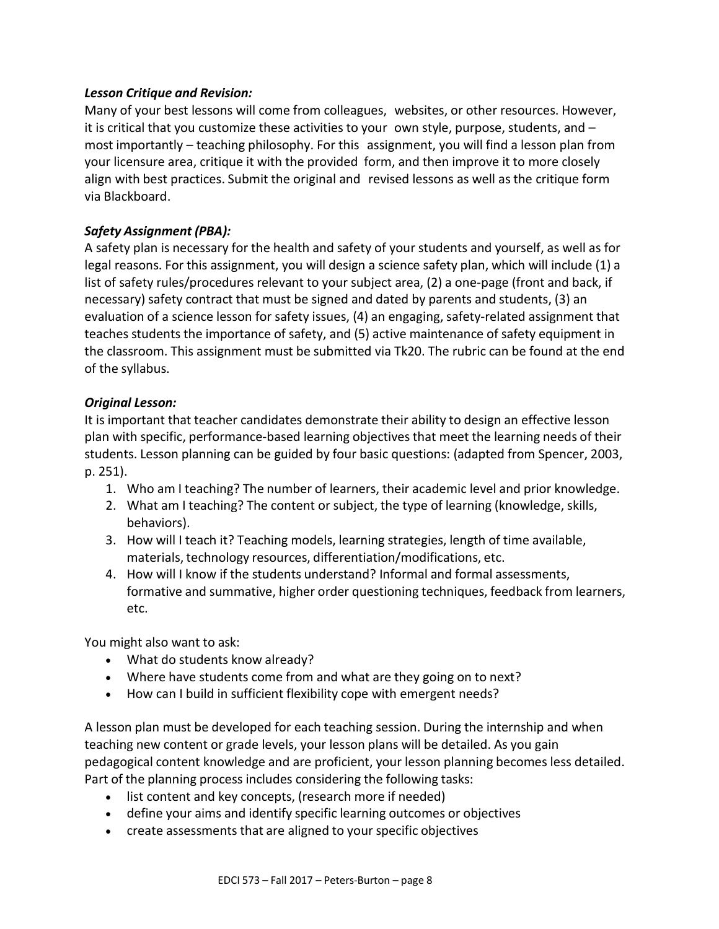## *Lesson Critique and Revision:*

Many of your best lessons will come from colleagues, websites, or other resources. However, it is critical that you customize these activities to your own style, purpose, students, and – most importantly – teaching philosophy. For this assignment, you will find a lesson plan from your licensure area, critique it with the provided form, and then improve it to more closely align with best practices. Submit the original and revised lessons as well as the critique form via Blackboard.

## *Safety Assignment (PBA):*

A safety plan is necessary for the health and safety of your students and yourself, as well as for legal reasons. For this assignment, you will design a science safety plan, which will include (1) a list of safety rules/procedures relevant to your subject area, (2) a one-page (front and back, if necessary) safety contract that must be signed and dated by parents and students, (3) an evaluation of a science lesson for safety issues, (4) an engaging, safety-related assignment that teaches students the importance of safety, and (5) active maintenance of safety equipment in the classroom. This assignment must be submitted via Tk20. The rubric can be found at the end of the syllabus.

## *Original Lesson:*

It is important that teacher candidates demonstrate their ability to design an effective lesson plan with specific, performance-based learning objectivesthat meet the learning needs of their students. Lesson planning can be guided by four basic questions: (adapted from Spencer, 2003, p. 251).

- 1. Who am I teaching? The number of learners, their academic level and prior knowledge.
- 2. What am I teaching? The content or subject, the type of learning (knowledge, skills, behaviors).
- 3. How will I teach it? Teaching models, learning strategies, length of time available, materials, technology resources, differentiation/modifications, etc.
- 4. How will I know if the students understand? Informal and formal assessments, formative and summative, higher order questioning techniques, feedback from learners, etc.

You might also want to ask:

- What do students know already?
- Where have students come from and what are they going on to next?
- How can I build in sufficient flexibility cope with emergent needs?

A lesson plan must be developed for each teaching session. During the internship and when teaching new content or grade levels, your lesson plans will be detailed. As you gain pedagogical content knowledge and are proficient, your lesson planning becomes less detailed. Part of the planning process includes considering the following tasks:

- list content and key concepts, (research more if needed)
- define your aims and identify specific learning outcomes or objectives
- create assessments that are aligned to your specific objectives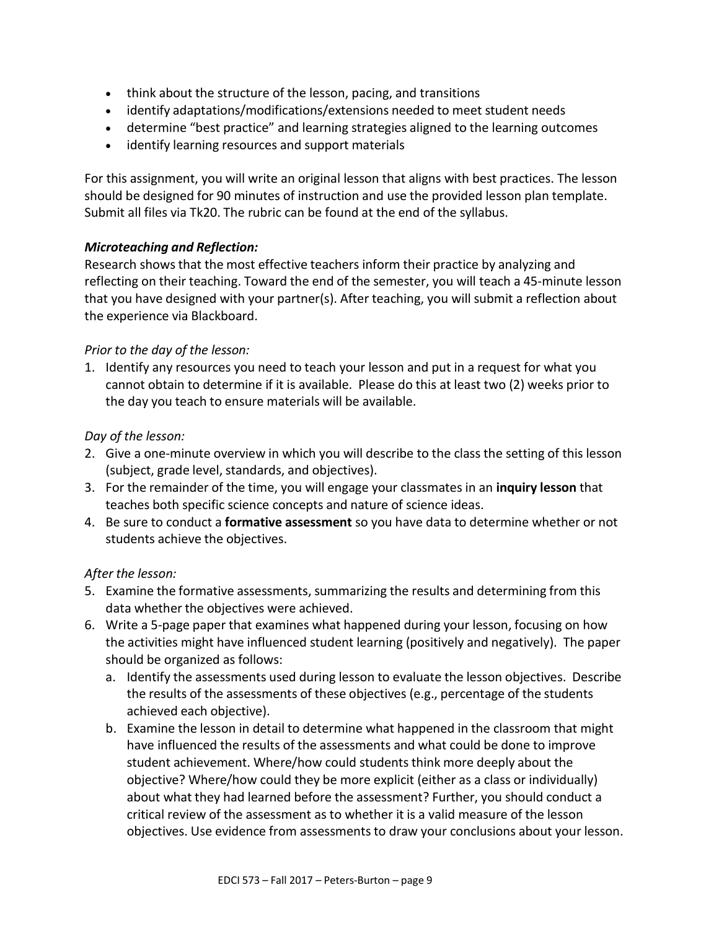- think about the structure of the lesson, pacing, and transitions
- identify adaptations/modifications/extensions needed to meet student needs
- determine "best practice" and learning strategies aligned to the learning outcomes
- identify learning resources and support materials

For this assignment, you will write an original lesson that aligns with best practices. The lesson should be designed for 90 minutes of instruction and use the provided lesson plan template. Submit all files via Tk20. The rubric can be found at the end of the syllabus.

## *Microteaching and Reflection:*

Research showsthat the most effective teachers inform their practice by analyzing and reflecting on their teaching. Toward the end of the semester, you will teach a 45-minute lesson that you have designed with your partner(s). After teaching, you will submit a reflection about the experience via Blackboard.

#### *Prior to the day of the lesson:*

1. Identify any resources you need to teach your lesson and put in a request for what you cannot obtain to determine if it is available. Please do this at least two (2) weeks prior to the day you teach to ensure materials will be available.

#### *Day of the lesson:*

- 2. Give a one-minute overview in which you will describe to the class the setting of this lesson (subject, grade level, standards, and objectives).
- 3. For the remainder of the time, you will engage your classmates in an **inquiry lesson** that teaches both specific science concepts and nature of science ideas.
- 4. Be sure to conduct a **formative assessment** so you have data to determine whether or not students achieve the objectives.

## *After the lesson:*

- 5. Examine the formative assessments, summarizing the results and determining from this data whether the objectives were achieved.
- 6. Write a 5-page paper that examines what happened during your lesson, focusing on how the activities might have influenced student learning (positively and negatively). The paper should be organized as follows:
	- a. Identify the assessments used during lesson to evaluate the lesson objectives. Describe the results of the assessments of these objectives (e.g., percentage of the students achieved each objective).
	- b. Examine the lesson in detail to determine what happened in the classroom that might have influenced the results of the assessments and what could be done to improve student achievement. Where/how could studentsthink more deeply about the objective? Where/how could they be more explicit (either as a class or individually) about what they had learned before the assessment? Further, you should conduct a critical review of the assessment as to whether it is a valid measure of the lesson objectives. Use evidence from assessments to draw your conclusions about your lesson.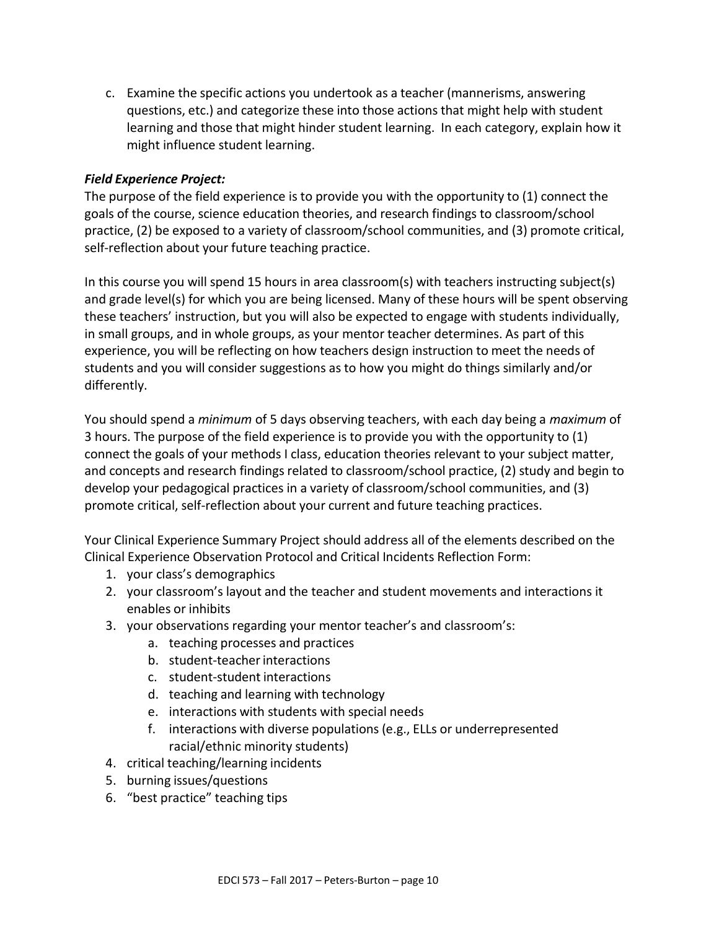c. Examine the specific actions you undertook as a teacher (mannerisms, answering questions, etc.) and categorize these into those actions that might help with student learning and those that might hinder student learning. In each category, explain how it might influence student learning.

#### *Field Experience Project:*

The purpose of the field experience is to provide you with the opportunity to (1) connect the goals of the course, science education theories, and research findings to classroom/school practice, (2) be exposed to a variety of classroom/school communities, and (3) promote critical, self-reflection about your future teaching practice.

In this course you will spend 15 hours in area classroom(s) with teachers instructing subject(s) and grade level(s) for which you are being licensed. Many of these hours will be spent observing these teachers' instruction, but you will also be expected to engage with students individually, in small groups, and in whole groups, as your mentor teacher determines. As part of this experience, you will be reflecting on how teachers design instruction to meet the needs of students and you will consider suggestions as to how you might do things similarly and/or differently.

You should spend a *minimum* of 5 days observing teachers, with each day being a *maximum* of 3 hours. The purpose of the field experience is to provide you with the opportunity to (1) connect the goals of your methods I class, education theories relevant to your subject matter, and concepts and research findings related to classroom/school practice, (2) study and begin to develop your pedagogical practices in a variety of classroom/school communities, and (3) promote critical, self-reflection about your current and future teaching practices.

Your Clinical Experience Summary Project should address all of the elements described on the Clinical Experience Observation Protocol and Critical Incidents Reflection Form:

- 1. your class's demographics
- 2. your classroom's layout and the teacher and student movements and interactions it enables or inhibits
- 3. your observations regarding your mentor teacher's and classroom's:
	- a. teaching processes and practices
	- b. student-teacher interactions
	- c. student-student interactions
	- d. teaching and learning with technology
	- e. interactions with students with special needs
	- f. interactions with diverse populations (e.g., ELLs or underrepresented racial/ethnic minority students)
- 4. critical teaching/learning incidents
- 5. burning issues/questions
- 6. "best practice" teaching tips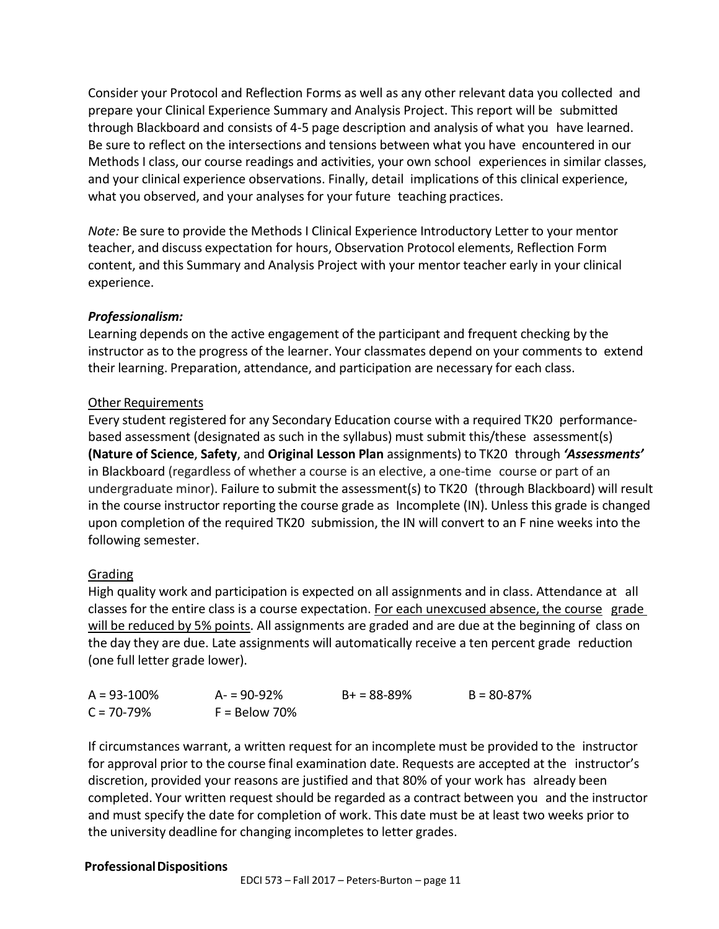Consider your Protocol and Reflection Forms as well as any other relevant data you collected and prepare your Clinical Experience Summary and Analysis Project. This report will be submitted through Blackboard and consists of 4-5 page description and analysis of what you have learned. Be sure to reflect on the intersections and tensions between what you have encountered in our Methods I class, our course readings and activities, your own school experiences in similar classes, and your clinical experience observations. Finally, detail implications of this clinical experience, what you observed, and your analyses for your future teaching practices.

*Note:* Be sure to provide the Methods I Clinical Experience Introductory Letter to your mentor teacher, and discuss expectation for hours, Observation Protocol elements, Reflection Form content, and this Summary and Analysis Project with your mentor teacher early in your clinical experience.

## *Professionalism:*

Learning depends on the active engagement of the participant and frequent checking by the instructor as to the progress of the learner. Your classmates depend on your comments to extend their learning. Preparation, attendance, and participation are necessary for each class.

## Other Requirements

Every student registered for any Secondary Education course with a required TK20 performancebased assessment (designated as such in the syllabus) must submit this/these assessment(s) **(Nature of Science**, **Safety**, and **Original Lesson Plan** assignments) to TK20 through *'Assessments'* in Blackboard (regardless of whether a course is an elective, a one-time course or part of an undergraduate minor). Failure to submit the assessment(s) to TK20 (through Blackboard) will result in the course instructor reporting the course grade as Incomplete (IN). Unless this grade is changed upon completion of the required TK20 submission, the IN will convert to an F nine weeks into the following semester.

## Grading

High quality work and participation is expected on all assignments and in class. Attendance at all classes for the entire class is a course expectation. For each unexcused absence, the course grade will be reduced by 5% points. All assignments are graded and are due at the beginning of class on the day they are due. Late assignments will automatically receive a ten percent grade reduction (one full letter grade lower).

| $A = 93 - 100\%$ | $A = 90 - 92%$  | $B+ = 88 - 89%$ | $B = 80 - 87\%$ |
|------------------|-----------------|-----------------|-----------------|
| $C = 70 - 79\%$  | $F =$ Below 70% |                 |                 |

If circumstances warrant, a written request for an incomplete must be provided to the instructor for approval prior to the course final examination date. Requests are accepted at the instructor's discretion, provided your reasons are justified and that 80% of your work has already been completed. Your written request should be regarded as a contract between you and the instructor and must specify the date for completion of work. This date must be at least two weeks prior to the university deadline for changing incompletes to letter grades.

#### **ProfessionalDispositions**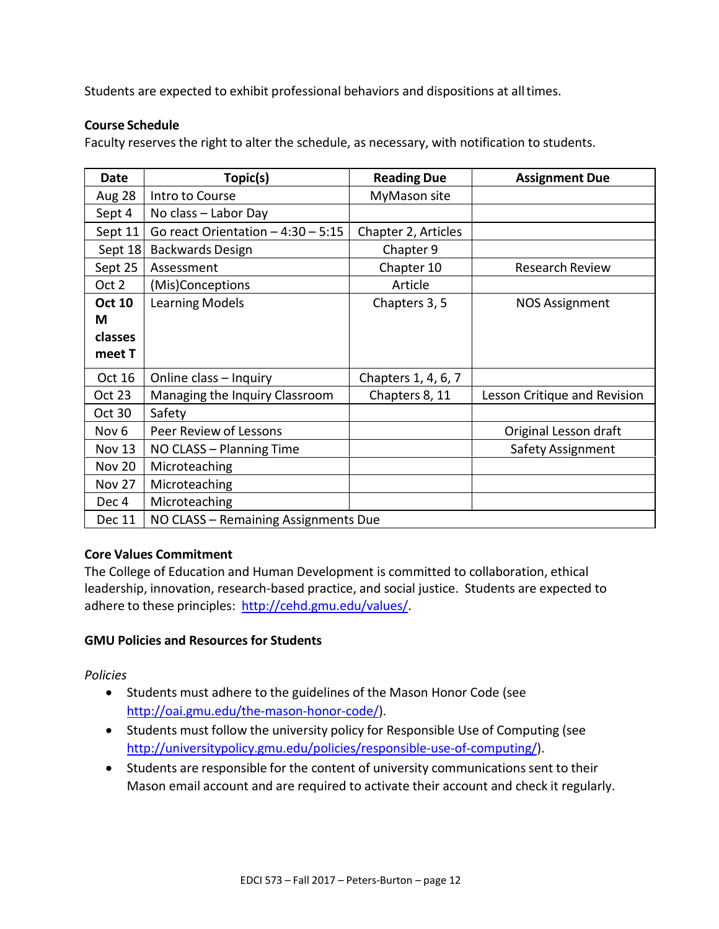Students are expected to exhibit professional behaviors and dispositions at alltimes.

#### **Course Schedule**

Faculty reserves the right to alter the schedule, as necessary, with notification to students.

| <b>Date</b>      | Topic(s)                             | <b>Reading Due</b>  | <b>Assignment Due</b>        |  |
|------------------|--------------------------------------|---------------------|------------------------------|--|
| Aug 28           | Intro to Course                      | MyMason site        |                              |  |
| Sept 4           | No class - Labor Day                 |                     |                              |  |
| Sept 11          | Go react Orientation $-4:30-5:15$    | Chapter 2, Articles |                              |  |
| Sept 18          | <b>Backwards Design</b>              | Chapter 9           |                              |  |
| Sept 25          | Assessment                           | Chapter 10          | <b>Research Review</b>       |  |
| Oct 2            | (Mis)Conceptions                     | Article             |                              |  |
| <b>Oct 10</b>    | <b>Learning Models</b>               | Chapters 3, 5       | <b>NOS Assignment</b>        |  |
| М                |                                      |                     |                              |  |
| classes          |                                      |                     |                              |  |
| meet T           |                                      |                     |                              |  |
| Oct 16           | Online class - Inquiry               | Chapters 1, 4, 6, 7 |                              |  |
| <b>Oct 23</b>    | Managing the Inquiry Classroom       | Chapters 8, 11      | Lesson Critique and Revision |  |
| <b>Oct 30</b>    | Safety                               |                     |                              |  |
| Nov <sub>6</sub> | Peer Review of Lessons               |                     | Original Lesson draft        |  |
| <b>Nov 13</b>    | NO CLASS - Planning Time             |                     | Safety Assignment            |  |
| <b>Nov 20</b>    | Microteaching                        |                     |                              |  |
| <b>Nov 27</b>    | Microteaching                        |                     |                              |  |
| Dec 4            | Microteaching                        |                     |                              |  |
| Dec 11           | NO CLASS - Remaining Assignments Due |                     |                              |  |

#### **Core Values Commitment**

The College of Education and Human Development is committed to collaboration, ethical leadership, innovation, research-based practice, and social justice. Students are expected to adhere to these principles: [http://cehd.gmu.edu/values/.](http://cehd.gmu.edu/values/)

#### **GMU Policies and Resources for Students**

*Policies*

- Students must adhere to the guidelines of the Mason Honor Code (see [http://oai.gmu.edu/the-mason-honor-code/\)](http://oai.gmu.edu/the-mason-honor-code/).
- Students must follow the university policy for Responsible Use of Computing (see [http://universitypolicy.gmu.edu/policies/responsible-use-of-computing/\)](http://universitypolicy.gmu.edu/policies/responsible-use-of-computing/).
- Students are responsible for the content of university communications sent to their Mason email account and are required to activate their account and check it regularly.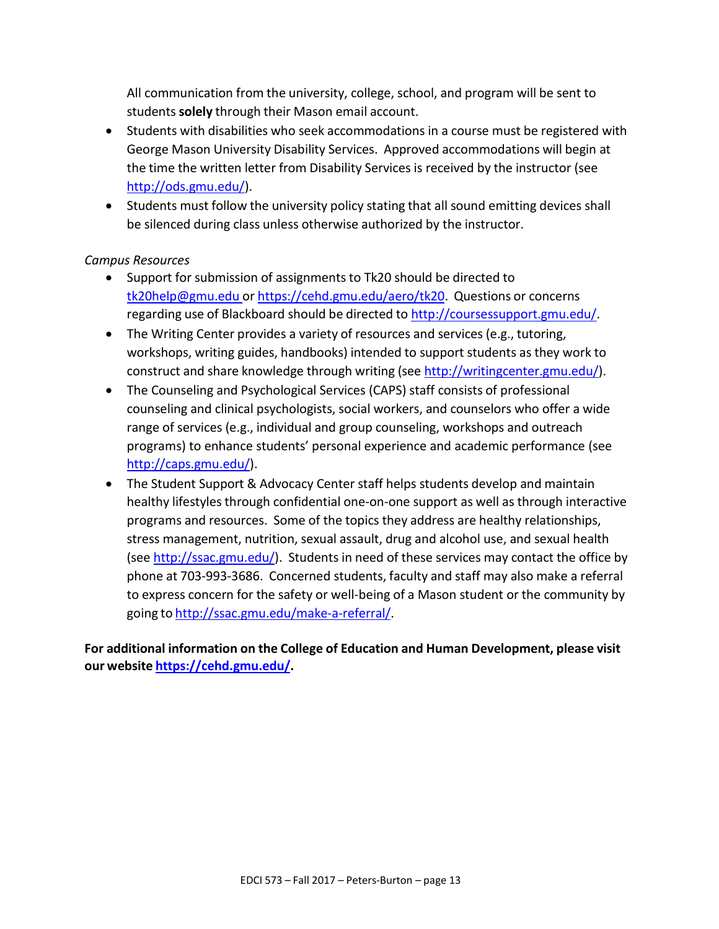All communication from the university, college, school, and program will be sent to students**solely** through their Mason email account.

- Students with disabilities who seek accommodations in a course must be registered with George Mason University Disability Services. Approved accommodations will begin at the time the written letter from Disability Services is received by the instructor (see [http://ods.gmu.edu/\)](http://ods.gmu.edu/).
- Students must follow the university policy stating that all sound emitting devices shall be silenced during class unless otherwise authorized by the instructor.

## *Campus Resources*

- Support for submission of assignments to Tk20 should be directed to [tk20help@gmu.edu](mailto:tk20help@gmu.edu) or [https://cehd.gmu.edu/aero/tk20.](https://cehd.gmu.edu/aero/tk20) Questions or concerns regarding use of Blackboard should be directed to [http://coursessupport.gmu.edu/.](http://coursessupport.gmu.edu/)
- The Writing Center provides a variety of resources and services (e.g., tutoring, workshops, writing guides, handbooks) intended to support students as they work to construct and share knowledge through writing (see [http://writingcenter.gmu.edu/\)](http://writingcenter.gmu.edu/).
- The Counseling and Psychological Services (CAPS) staff consists of professional counseling and clinical psychologists, social workers, and counselors who offer a wide range of services (e.g., individual and group counseling, workshops and outreach programs) to enhance students' personal experience and academic performance (see [http://caps.gmu.edu/\)](http://caps.gmu.edu/).
- The Student Support & Advocacy Center staff helps students develop and maintain healthy lifestyles through confidential one-on-one support as well as through interactive programs and resources. Some of the topics they address are healthy relationships, stress management, nutrition, sexual assault, drug and alcohol use, and sexual health (se[e http://ssac.gmu.edu/\)](http://ssac.gmu.edu/). Students in need of these services may contact the office by phone at 703-993-3686. Concerned students, faculty and staff may also make a referral to express concern for the safety or well-being of a Mason student or the community by going to [http://ssac.gmu.edu/make-a-referral/.](http://ssac.gmu.edu/make-a-referral/)

**For additional information on the College of Education and Human Development, please visit our website [https://cehd.gmu.edu/.](https://cehd.gmu.edu/)**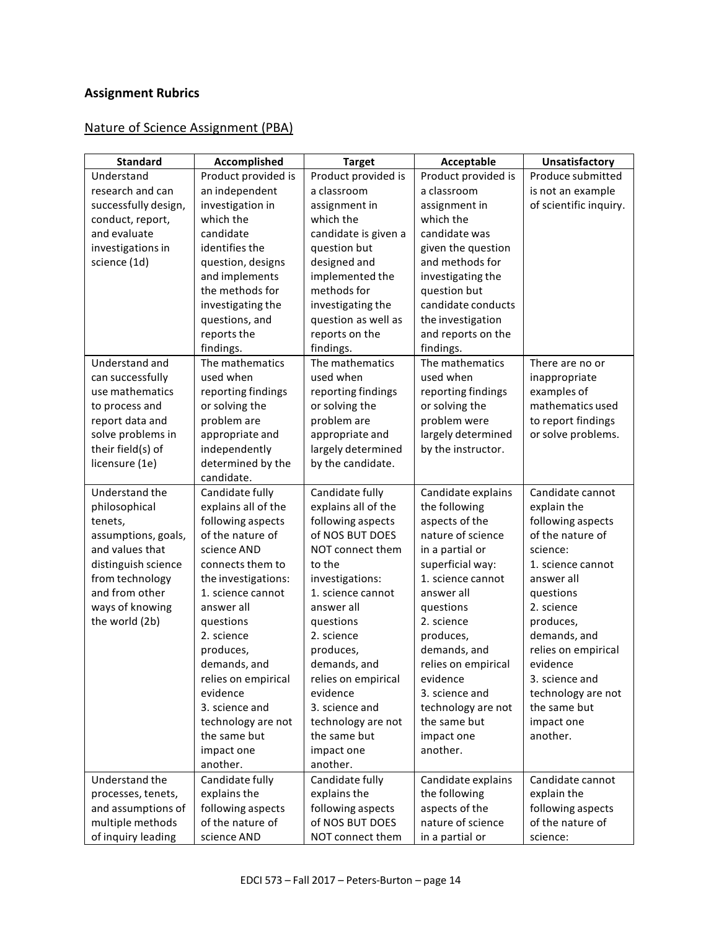# **Assignment Rubrics**

## Nature of Science Assignment (PBA)

| <b>Standard</b>                   | Accomplished                             | <b>Target</b>                        | Acceptable                      | Unsatisfactory            |
|-----------------------------------|------------------------------------------|--------------------------------------|---------------------------------|---------------------------|
| Understand                        | Product provided is                      | Product provided is                  | Product provided is             | Produce submitted         |
| research and can                  | an independent                           | a classroom                          | a classroom                     | is not an example         |
| successfully design,              | investigation in                         | assignment in                        | assignment in                   | of scientific inquiry.    |
| conduct, report,                  | which the                                | which the                            | which the                       |                           |
| and evaluate                      | candidate                                | candidate is given a                 | candidate was                   |                           |
| investigations in                 | identifies the                           | question but                         | given the question              |                           |
| science (1d)                      | question, designs                        | designed and                         | and methods for                 |                           |
|                                   | and implements                           | implemented the                      | investigating the               |                           |
|                                   | the methods for                          | methods for                          | question but                    |                           |
|                                   | investigating the                        | investigating the                    | candidate conducts              |                           |
|                                   | questions, and                           | question as well as                  | the investigation               |                           |
|                                   | reports the                              | reports on the                       | and reports on the              |                           |
|                                   | findings.                                | findings.                            | findings.                       |                           |
| Understand and                    | The mathematics                          | The mathematics                      | The mathematics                 | There are no or           |
| can successfully                  | used when                                | used when                            | used when                       | inappropriate             |
| use mathematics                   | reporting findings                       | reporting findings                   | reporting findings              | examples of               |
| to process and                    | or solving the                           | or solving the                       | or solving the                  | mathematics used          |
| report data and                   | problem are                              | problem are                          | problem were                    | to report findings        |
| solve problems in                 | appropriate and                          | appropriate and                      | largely determined              | or solve problems.        |
| their field(s) of                 | independently                            | largely determined                   | by the instructor.              |                           |
| licensure (1e)                    | determined by the                        | by the candidate.                    |                                 |                           |
|                                   | candidate.                               |                                      |                                 |                           |
| Understand the                    | Candidate fully                          | Candidate fully                      | Candidate explains              | Candidate cannot          |
| philosophical                     | explains all of the                      | explains all of the                  | the following                   | explain the               |
| tenets,                           | following aspects                        | following aspects                    | aspects of the                  | following aspects         |
| assumptions, goals,               | of the nature of                         | of NOS BUT DOES                      | nature of science               | of the nature of          |
| and values that                   | science AND                              | NOT connect them                     | in a partial or                 | science:                  |
| distinguish science               | connects them to                         | to the                               | superficial way:                | 1. science cannot         |
| from technology<br>and from other | the investigations:<br>1. science cannot | investigations:<br>1. science cannot | 1. science cannot<br>answer all | answer all                |
|                                   | answer all                               | answer all                           |                                 | questions<br>2. science   |
| ways of knowing<br>the world (2b) | questions                                |                                      | questions<br>2. science         |                           |
|                                   | 2. science                               | questions<br>2. science              | produces,                       | produces,<br>demands, and |
|                                   | produces,                                | produces,                            | demands, and                    | relies on empirical       |
|                                   | demands, and                             | demands, and                         | relies on empirical             | evidence                  |
|                                   | relies on empirical                      | relies on empirical                  | evidence                        | 3. science and            |
|                                   | evidence                                 | evidence                             | 3. science and                  | technology are not        |
|                                   | 3. science and                           | 3. science and                       | technology are not              | the same but              |
|                                   | technology are not                       | technology are not                   | the same but                    | impact one                |
|                                   | the same but                             | the same but                         | impact one                      | another.                  |
|                                   | impact one                               | impact one                           | another.                        |                           |
|                                   | another.                                 | another.                             |                                 |                           |
| Understand the                    | Candidate fully                          | Candidate fully                      | Candidate explains              | Candidate cannot          |
| processes, tenets,                | explains the                             | explains the                         | the following                   | explain the               |
| and assumptions of                | following aspects                        | following aspects                    | aspects of the                  | following aspects         |
| multiple methods                  | of the nature of                         | of NOS BUT DOES                      | nature of science               | of the nature of          |
| of inquiry leading                | science AND                              | NOT connect them                     | in a partial or                 | science:                  |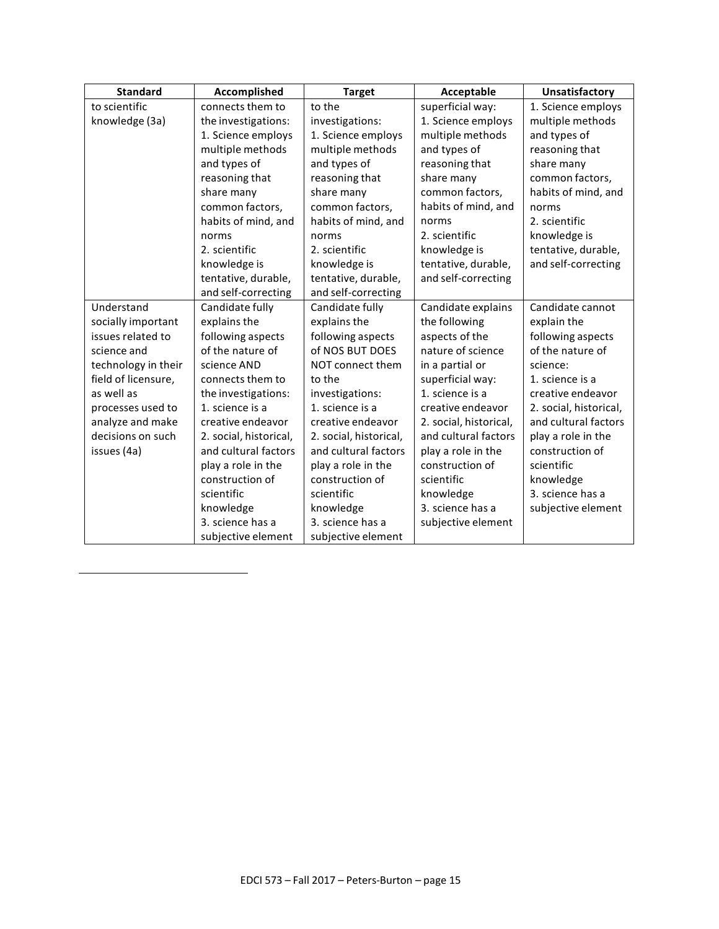| <b>Standard</b>     | Accomplished           | <b>Target</b>          | Acceptable             | <b>Unsatisfactory</b>  |
|---------------------|------------------------|------------------------|------------------------|------------------------|
| to scientific       | connects them to       | to the                 | superficial way:       | 1. Science employs     |
| knowledge (3a)      | the investigations:    | investigations:        | 1. Science employs     | multiple methods       |
|                     | 1. Science employs     | 1. Science employs     | multiple methods       | and types of           |
|                     | multiple methods       | multiple methods       | and types of           | reasoning that         |
|                     | and types of           | and types of           | reasoning that         | share many             |
|                     | reasoning that         | reasoning that         | share many             | common factors,        |
|                     | share many             | share many             | common factors,        | habits of mind, and    |
|                     | common factors,        | common factors,        | habits of mind, and    | norms                  |
|                     | habits of mind, and    | habits of mind, and    | norms                  | 2. scientific          |
|                     | norms                  | norms                  | 2. scientific          | knowledge is           |
|                     | 2. scientific          | 2. scientific          | knowledge is           | tentative, durable,    |
|                     | knowledge is           | knowledge is           | tentative, durable,    | and self-correcting    |
|                     | tentative, durable,    | tentative, durable,    | and self-correcting    |                        |
|                     | and self-correcting    | and self-correcting    |                        |                        |
| Understand          | Candidate fully        | Candidate fully        | Candidate explains     | Candidate cannot       |
| socially important  | explains the           | explains the           | the following          | explain the            |
| issues related to   | following aspects      | following aspects      | aspects of the         | following aspects      |
| science and         | of the nature of       | of NOS BUT DOES        | nature of science      | of the nature of       |
| technology in their | science AND            | NOT connect them       | in a partial or        | science:               |
| field of licensure, | connects them to       | to the                 | superficial way:       | 1. science is a        |
| as well as          | the investigations:    | investigations:        | 1. science is a        | creative endeavor      |
| processes used to   | 1. science is a        | 1. science is a        | creative endeavor      | 2. social, historical, |
| analyze and make    | creative endeavor      | creative endeavor      | 2. social, historical, | and cultural factors   |
| decisions on such   | 2. social, historical, | 2. social, historical, | and cultural factors   | play a role in the     |
| issues (4a)         | and cultural factors   | and cultural factors   | play a role in the     | construction of        |
|                     | play a role in the     | play a role in the     | construction of        | scientific             |
|                     | construction of        | construction of        | scientific             | knowledge              |
|                     | scientific             | scientific             | knowledge              | 3. science has a       |
|                     | knowledge              | knowledge              | 3. science has a       | subjective element     |
|                     | 3. science has a       | 3. science has a       | subjective element     |                        |
|                     | subjective element     | subjective element     |                        |                        |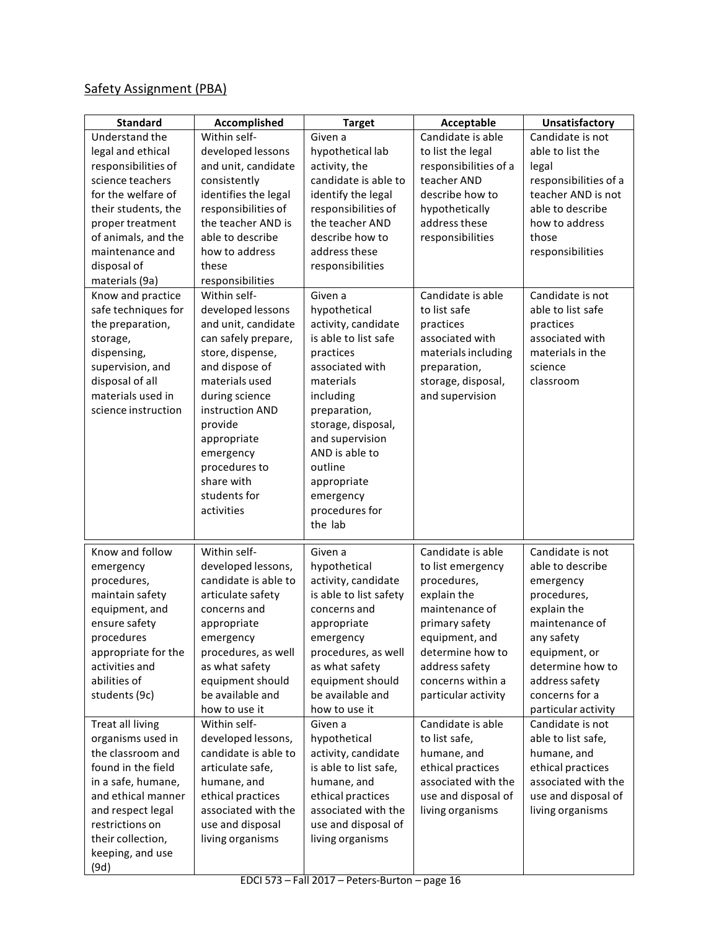# Safety Assignment (PBA)

| <b>Standard</b>     | Accomplished         | <b>Target</b>          | Acceptable            | Unsatisfactory        |
|---------------------|----------------------|------------------------|-----------------------|-----------------------|
| Understand the      | Within self-         | Given a                | Candidate is able     | Candidate is not      |
| legal and ethical   | developed lessons    | hypothetical lab       | to list the legal     | able to list the      |
| responsibilities of | and unit, candidate  | activity, the          | responsibilities of a | legal                 |
| science teachers    | consistently         | candidate is able to   | teacher AND           | responsibilities of a |
| for the welfare of  | identifies the legal | identify the legal     | describe how to       | teacher AND is not    |
| their students, the | responsibilities of  | responsibilities of    | hypothetically        | able to describe      |
| proper treatment    | the teacher AND is   | the teacher AND        | address these         | how to address        |
| of animals, and the | able to describe     | describe how to        | responsibilities      | those                 |
| maintenance and     | how to address       | address these          |                       | responsibilities      |
| disposal of         | these                | responsibilities       |                       |                       |
| materials (9a)      | responsibilities     |                        |                       |                       |
| Know and practice   | Within self-         | Given a                | Candidate is able     | Candidate is not      |
| safe techniques for | developed lessons    | hypothetical           | to list safe          | able to list safe     |
| the preparation,    | and unit, candidate  | activity, candidate    | practices             | practices             |
| storage,            | can safely prepare,  | is able to list safe   | associated with       | associated with       |
| dispensing,         | store, dispense,     | practices              | materials including   | materials in the      |
| supervision, and    | and dispose of       | associated with        | preparation,          | science               |
| disposal of all     | materials used       | materials              | storage, disposal,    | classroom             |
| materials used in   | during science       | including              | and supervision       |                       |
| science instruction | instruction AND      | preparation,           |                       |                       |
|                     | provide              | storage, disposal,     |                       |                       |
|                     | appropriate          | and supervision        |                       |                       |
|                     | emergency            | AND is able to         |                       |                       |
|                     | procedures to        | outline                |                       |                       |
|                     | share with           | appropriate            |                       |                       |
|                     | students for         | emergency              |                       |                       |
|                     | activities           | procedures for         |                       |                       |
|                     |                      | the lab                |                       |                       |
| Know and follow     | Within self-         | Given a                | Candidate is able     | Candidate is not      |
| emergency           | developed lessons,   | hypothetical           | to list emergency     | able to describe      |
| procedures,         | candidate is able to | activity, candidate    | procedures,           | emergency             |
| maintain safety     | articulate safety    | is able to list safety | explain the           | procedures,           |
| equipment, and      | concerns and         | concerns and           | maintenance of        | explain the           |
| ensure safety       | appropriate          | appropriate            | primary safety        | maintenance of        |
| procedures          | emergency            | emergency              | equipment, and        | any safety            |
| appropriate for the | procedures, as well  | procedures, as well    | determine how to      | equipment, or         |
| activities and      | as what safety       | as what safety         | address safety        | determine how to      |
| abilities of        | equipment should     | equipment should       | concerns within a     | address safety        |
| students (9c)       | be available and     | be available and       | particular activity   | concerns for a        |
|                     | how to use it        | how to use it          |                       | particular activity   |
| Treat all living    | Within self-         | Given a                | Candidate is able     | Candidate is not      |
| organisms used in   | developed lessons,   | hypothetical           | to list safe,         | able to list safe,    |
| the classroom and   | candidate is able to | activity, candidate    | humane, and           | humane, and           |
| found in the field  | articulate safe,     | is able to list safe,  | ethical practices     | ethical practices     |
| in a safe, humane,  | humane, and          | humane, and            | associated with the   | associated with the   |
| and ethical manner  | ethical practices    | ethical practices      | use and disposal of   | use and disposal of   |
| and respect legal   | associated with the  | associated with the    | living organisms      | living organisms      |
| restrictions on     | use and disposal     | use and disposal of    |                       |                       |
| their collection,   | living organisms     | living organisms       |                       |                       |
| keeping, and use    |                      |                        |                       |                       |
| (9d)                |                      |                        |                       |                       |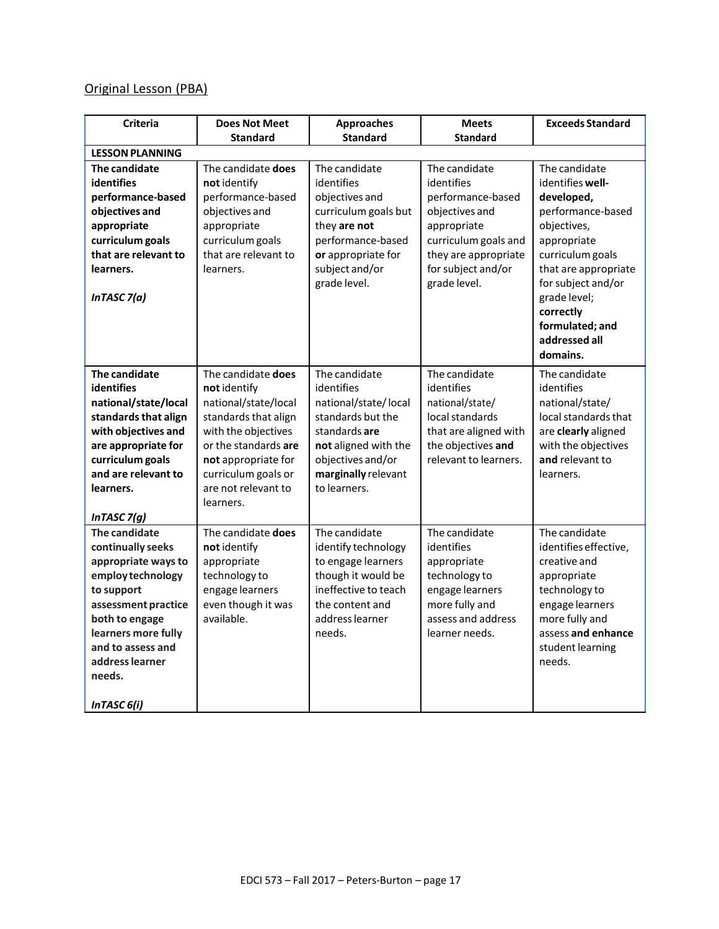# Original Lesson (PBA)

| <b>Criteria</b>                                                                                                                                                                                                               | <b>Does Not Meet</b>                                                                                                                                                                                                | <b>Approaches</b>                                                                                                                                                             | <b>Meets</b>                                                                                                                                                            | <b>Exceeds Standard</b>                                                                                                                                                                                                                           |
|-------------------------------------------------------------------------------------------------------------------------------------------------------------------------------------------------------------------------------|---------------------------------------------------------------------------------------------------------------------------------------------------------------------------------------------------------------------|-------------------------------------------------------------------------------------------------------------------------------------------------------------------------------|-------------------------------------------------------------------------------------------------------------------------------------------------------------------------|---------------------------------------------------------------------------------------------------------------------------------------------------------------------------------------------------------------------------------------------------|
|                                                                                                                                                                                                                               | <b>Standard</b>                                                                                                                                                                                                     | <b>Standard</b>                                                                                                                                                               | <b>Standard</b>                                                                                                                                                         |                                                                                                                                                                                                                                                   |
| <b>LESSON PLANNING</b>                                                                                                                                                                                                        |                                                                                                                                                                                                                     |                                                                                                                                                                               |                                                                                                                                                                         |                                                                                                                                                                                                                                                   |
| The candidate<br><b>identifies</b><br>performance-based<br>objectives and<br>appropriate<br>curriculum goals<br>that are relevant to<br>learners.<br>In TASC $7(a)$                                                           | The candidate does<br>not identify<br>performance-based<br>objectives and<br>appropriate<br>curriculum goals<br>that are relevant to<br>learners.                                                                   | The candidate<br>identifies<br>objectives and<br>curriculum goals but<br>they are not<br>performance-based<br>or appropriate for<br>subject and/or<br>grade level.            | The candidate<br>identifies<br>performance-based<br>objectives and<br>appropriate<br>curriculum goals and<br>they are appropriate<br>for subject and/or<br>grade level. | The candidate<br>identifies well-<br>developed,<br>performance-based<br>objectives,<br>appropriate<br>curriculum goals<br>that are appropriate<br>for subject and/or<br>grade level;<br>correctly<br>formulated; and<br>addressed all<br>domains. |
| The candidate<br><b>identifies</b><br>national/state/local<br>standards that align<br>with objectives and<br>are appropriate for<br>curriculum goals<br>and are relevant to<br>learners.<br>InTASC $7(g)$                     | The candidate does<br>not identify<br>national/state/local<br>standards that align<br>with the objectives<br>or the standards are<br>not appropriate for<br>curriculum goals or<br>are not relevant to<br>learners. | The candidate<br>identifies<br>national/state/local<br>standards but the<br>standards are<br>not aligned with the<br>objectives and/or<br>marginally relevant<br>to learners. | The candidate<br>identifies<br>national/state/<br>local standards<br>that are aligned with<br>the objectives and<br>relevant to learners.                               | The candidate<br>identifies<br>national/state/<br>local standards that<br>are clearly aligned<br>with the objectives<br>and relevant to<br>learners.                                                                                              |
| The candidate<br>continually seeks<br>appropriate ways to<br>employ technology<br>to support<br>assessment practice<br>both to engage<br>learners more fully<br>and to assess and<br>address learner<br>needs.<br>InTASC 6(i) | The candidate does<br>not identify<br>appropriate<br>technology to<br>engage learners<br>even though it was<br>available.                                                                                           | The candidate<br>identify technology<br>to engage learners<br>though it would be<br>ineffective to teach<br>the content and<br>address learner<br>needs.                      | The candidate<br>identifies<br>appropriate<br>technology to<br>engage learners<br>more fully and<br>assess and address<br>learner needs.                                | The candidate<br>identifies effective,<br>creative and<br>appropriate<br>technology to<br>engage learners<br>more fully and<br>assess and enhance<br>student learning<br>needs.                                                                   |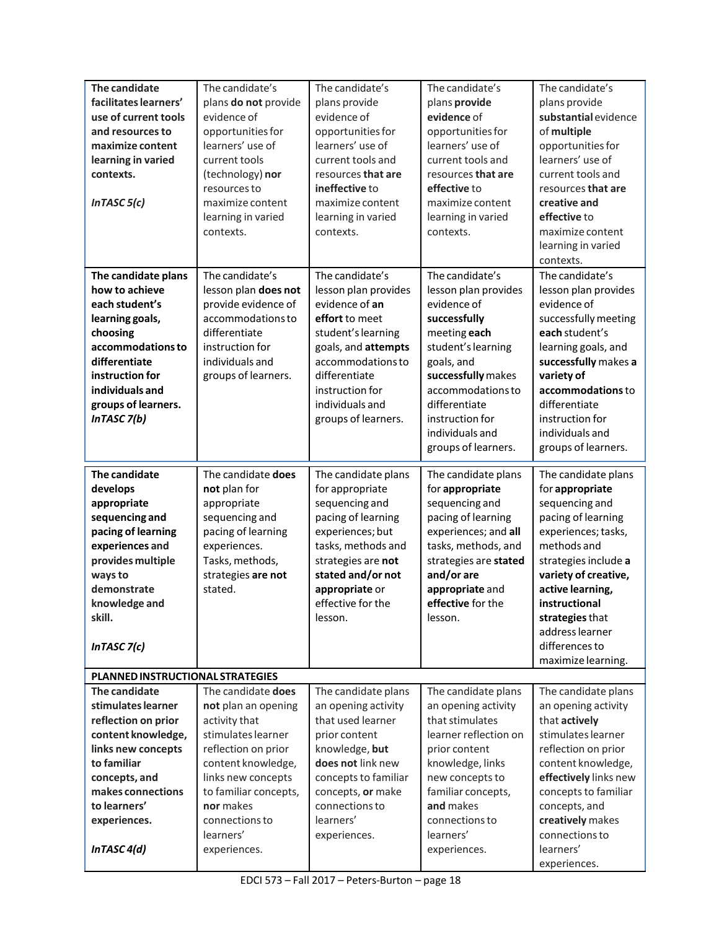| The candidate<br>facilitates learners'<br>use of current tools<br>and resources to<br>maximize content<br>learning in varied<br>contexts.<br>In TASC $5(c)$                                                | The candidate's<br>plans do not provide<br>evidence of<br>opportunities for<br>learners' use of<br>current tools<br>(technology) nor<br>resources to<br>maximize content<br>learning in varied<br>contexts.                              | The candidate's<br>plans provide<br>evidence of<br>opportunities for<br>learners' use of<br>current tools and<br>resources that are<br>ineffective to<br>maximize content<br>learning in varied<br>contexts.                | The candidate's<br>plans provide<br>evidence of<br>opportunities for<br>learners' use of<br>current tools and<br>resources that are<br>effective to<br>maximize content<br>learning in varied<br>contexts.                                          | The candidate's<br>plans provide<br>substantial evidence<br>of multiple<br>opportunities for<br>learners' use of<br>current tools and<br>resources that are<br>creative and<br>effective to<br>maximize content<br>learning in varied<br>contexts.                                      |
|------------------------------------------------------------------------------------------------------------------------------------------------------------------------------------------------------------|------------------------------------------------------------------------------------------------------------------------------------------------------------------------------------------------------------------------------------------|-----------------------------------------------------------------------------------------------------------------------------------------------------------------------------------------------------------------------------|-----------------------------------------------------------------------------------------------------------------------------------------------------------------------------------------------------------------------------------------------------|-----------------------------------------------------------------------------------------------------------------------------------------------------------------------------------------------------------------------------------------------------------------------------------------|
| The candidate plans<br>how to achieve<br>each student's<br>learning goals,<br>choosing<br>accommodations to<br>differentiate<br>instruction for<br>individuals and<br>groups of learners.<br>InTASC 7(b)   | The candidate's<br>lesson plan does not<br>provide evidence of<br>accommodations to<br>differentiate<br>instruction for<br>individuals and<br>groups of learners.                                                                        | The candidate's<br>lesson plan provides<br>evidence of an<br>effort to meet<br>student's learning<br>goals, and attempts<br>accommodations to<br>differentiate<br>instruction for<br>individuals and<br>groups of learners. | The candidate's<br>lesson plan provides<br>evidence of<br>successfully<br>meeting each<br>student's learning<br>goals, and<br>successfully makes<br>accommodations to<br>differentiate<br>instruction for<br>individuals and<br>groups of learners. | The candidate's<br>lesson plan provides<br>evidence of<br>successfully meeting<br>each student's<br>learning goals, and<br>successfully makes a<br>variety of<br>accommodations to<br>differentiate<br>instruction for<br>individuals and<br>groups of learners.                        |
| The candidate<br>develops<br>appropriate<br>sequencing and<br>pacing of learning<br>experiences and<br>provides multiple<br>ways to<br>demonstrate<br>knowledge and<br>skill.<br>In TASC $7(c)$            | The candidate does<br>not plan for<br>appropriate<br>sequencing and<br>pacing of learning<br>experiences.<br>Tasks, methods,<br>strategies are not<br>stated.                                                                            | The candidate plans<br>for appropriate<br>sequencing and<br>pacing of learning<br>experiences; but<br>tasks, methods and<br>strategies are not<br>stated and/or not<br>appropriate or<br>effective for the<br>lesson.       | The candidate plans<br>for appropriate<br>sequencing and<br>pacing of learning<br>experiences; and all<br>tasks, methods, and<br>strategies are stated<br>and/or are<br>appropriate and<br>effective for the<br>lesson.                             | The candidate plans<br>for appropriate<br>sequencing and<br>pacing of learning<br>experiences; tasks,<br>methods and<br>strategies include a<br>variety of creative,<br>active learning,<br>instructional<br>strategies that<br>address learner<br>differences to<br>maximize learning. |
| PLANNED INSTRUCTIONAL STRATEGIES                                                                                                                                                                           |                                                                                                                                                                                                                                          |                                                                                                                                                                                                                             |                                                                                                                                                                                                                                                     |                                                                                                                                                                                                                                                                                         |
| The candidate<br>stimulates learner<br>reflection on prior<br>content knowledge,<br>links new concepts<br>to familiar<br>concepts, and<br>makes connections<br>to learners'<br>experiences.<br>InTASC 4(d) | The candidate does<br>not plan an opening<br>activity that<br>stimulates learner<br>reflection on prior<br>content knowledge,<br>links new concepts<br>to familiar concepts,<br>nor makes<br>connections to<br>learners'<br>experiences. | The candidate plans<br>an opening activity<br>that used learner<br>prior content<br>knowledge, but<br>does not link new<br>concepts to familiar<br>concepts, or make<br>connections to<br>learners'<br>experiences.         | The candidate plans<br>an opening activity<br>that stimulates<br>learner reflection on<br>prior content<br>knowledge, links<br>new concepts to<br>familiar concepts,<br>and makes<br>connections to<br>learners'<br>experiences.                    | The candidate plans<br>an opening activity<br>that actively<br>stimulates learner<br>reflection on prior<br>content knowledge,<br>effectively links new<br>concepts to familiar<br>concepts, and<br>creatively makes<br>connections to<br>learners'<br>experiences.                     |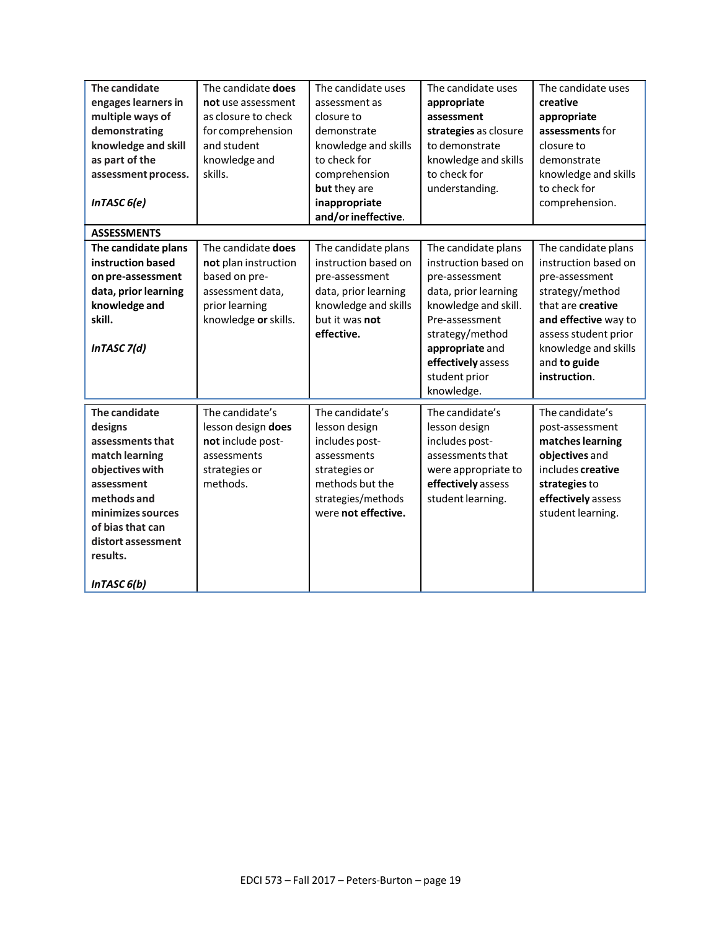| The candidate<br>engages learners in<br>multiple ways of<br>demonstrating<br>knowledge and skill<br>as part of the<br>assessment process.<br>InTASC 6(e)                                                             | The candidate does<br>not use assessment<br>as closure to check<br>for comprehension<br>and student<br>knowledge and<br>skills. | The candidate uses<br>assessment as<br>closure to<br>demonstrate<br>knowledge and skills<br>to check for<br>comprehension<br>but they are<br>inappropriate<br>and/or ineffective. | The candidate uses<br>appropriate<br>assessment<br>strategies as closure<br>to demonstrate<br>knowledge and skills<br>to check for<br>understanding.                                                                       | The candidate uses<br>creative<br>appropriate<br>assessments for<br>closure to<br>demonstrate<br>knowledge and skills<br>to check for<br>comprehension.                                                       |
|----------------------------------------------------------------------------------------------------------------------------------------------------------------------------------------------------------------------|---------------------------------------------------------------------------------------------------------------------------------|-----------------------------------------------------------------------------------------------------------------------------------------------------------------------------------|----------------------------------------------------------------------------------------------------------------------------------------------------------------------------------------------------------------------------|---------------------------------------------------------------------------------------------------------------------------------------------------------------------------------------------------------------|
| <b>ASSESSMENTS</b><br>The candidate plans<br>instruction based<br>on pre-assessment<br>data, prior learning<br>knowledge and<br>skill.<br>InTASC 7(d)                                                                | The candidate does<br>not plan instruction<br>based on pre-<br>assessment data,<br>prior learning<br>knowledge or skills.       | The candidate plans<br>instruction based on<br>pre-assessment<br>data, prior learning<br>knowledge and skills<br>but it was not<br>effective.                                     | The candidate plans<br>instruction based on<br>pre-assessment<br>data, prior learning<br>knowledge and skill.<br>Pre-assessment<br>strategy/method<br>appropriate and<br>effectively assess<br>student prior<br>knowledge. | The candidate plans<br>instruction based on<br>pre-assessment<br>strategy/method<br>that are creative<br>and effective way to<br>assess student prior<br>knowledge and skills<br>and to guide<br>instruction. |
| The candidate<br>designs<br>assessments that<br>match learning<br>objectives with<br>assessment<br>methods and<br>minimizes sources<br>of bias that can<br>distort assessment<br>results.<br>InTASC <sub>6</sub> (b) | The candidate's<br>lesson design does<br>not include post-<br>assessments<br>strategies or<br>methods.                          | The candidate's<br>lesson design<br>includes post-<br>assessments<br>strategies or<br>methods but the<br>strategies/methods<br>were not effective.                                | The candidate's<br>lesson design<br>includes post-<br>assessments that<br>were appropriate to<br>effectively assess<br>student learning.                                                                                   | The candidate's<br>post-assessment<br>matches learning<br>objectives and<br>includes creative<br>strategies to<br>effectively assess<br>student learning.                                                     |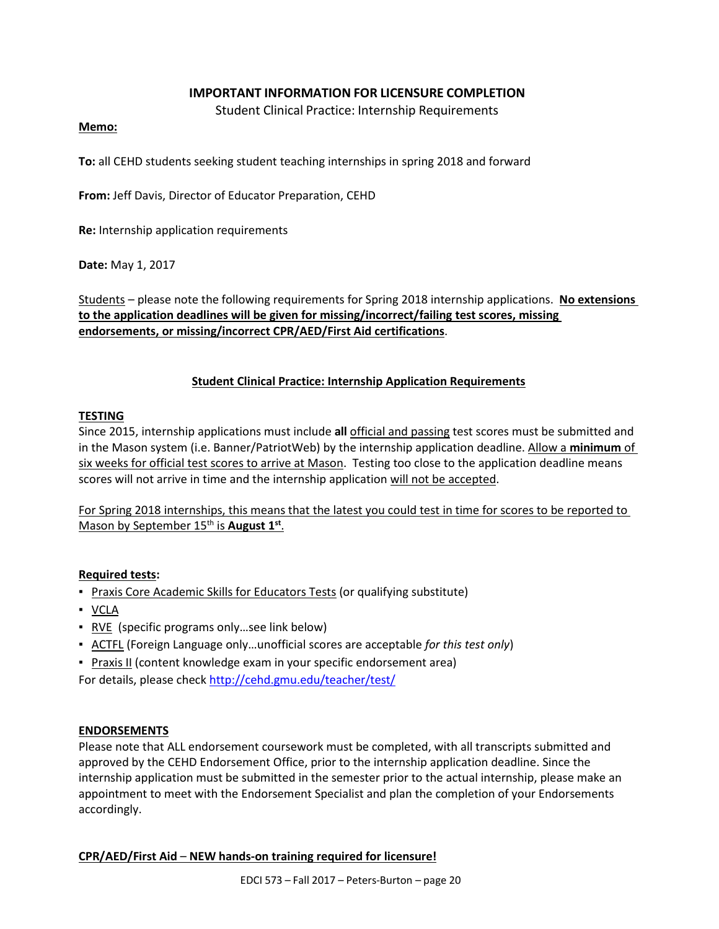#### **IMPORTANT INFORMATION FOR LICENSURE COMPLETION**

Student Clinical Practice: Internship Requirements

#### **Memo:**

**To:** all CEHD students seeking student teaching internships in spring 2018 and forward

**From:** Jeff Davis, Director of Educator Preparation, CEHD

**Re:** Internship application requirements

**Date:** May 1, 2017

Students – please note the following requirements for Spring 2018 internship applications. **No extensions to the application deadlines will be given for missing/incorrect/failing test scores, missing endorsements, or missing/incorrect CPR/AED/First Aid certifications**.

#### **Student Clinical Practice: Internship Application Requirements**

#### **TESTING**

Since 2015, internship applications must include **all** official and passing test scores must be submitted and in the Mason system (i.e. Banner/PatriotWeb) by the internship application deadline. Allow a **minimum** of six weeks for official test scores to arrive at Mason. Testing too close to the application deadline means scores will not arrive in time and the internship application will not be accepted.

For Spring 2018 internships, this means that the latest you could test in time for scores to be reported to Mason by September 15<sup>th</sup> is **August 1<sup>st</sup>**.

#### **Required tests:**

- **Praxis Core Academic Skills for Educators Tests (or qualifying substitute)**
- VCLA
- RVE (specific programs only ... see link below)
- ACTFL (Foreign Language only…unofficial scores are acceptable *for this test only*)
- **Praxis II (content knowledge exam in your specific endorsement area)**

For details, please check<http://cehd.gmu.edu/teacher/test/>

#### **ENDORSEMENTS**

Please note that ALL endorsement coursework must be completed, with all transcripts submitted and approved by the CEHD Endorsement Office, prior to the internship application deadline. Since the internship application must be submitted in the semester prior to the actual internship, please make an appointment to meet with the Endorsement Specialist and plan the completion of your Endorsements accordingly.

#### **CPR/AED/First Aid** – **NEW hands-on training required for licensure!**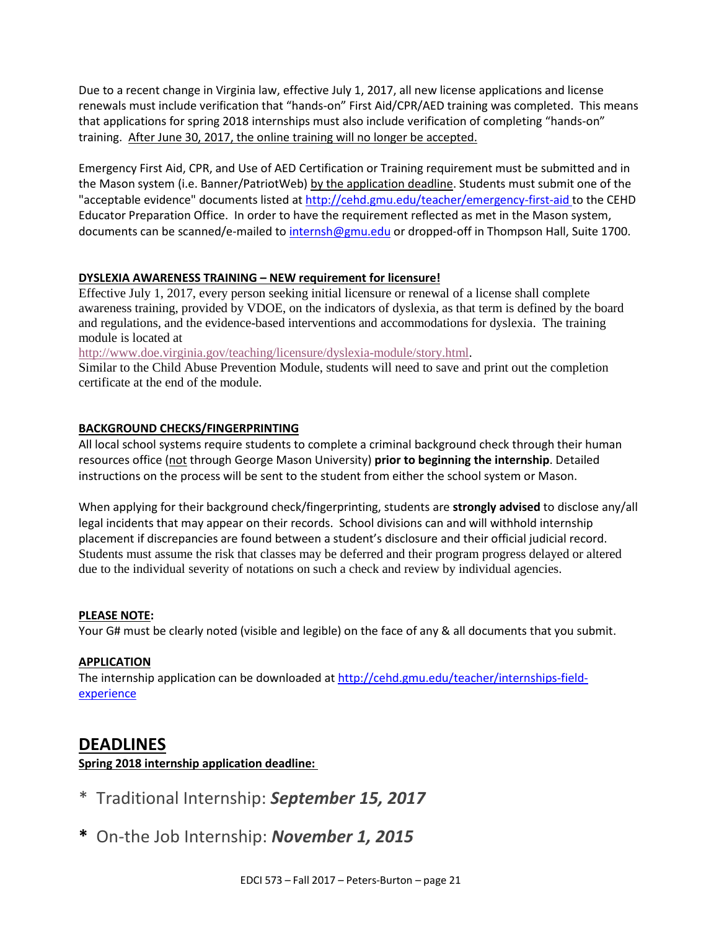Due to a recent change in Virginia law, effective July 1, 2017, all new license applications and license renewals must include verification that "hands-on" First Aid/CPR/AED training was completed. This means that applications for spring 2018 internships must also include verification of completing "hands-on" training. After June 30, 2017, the online training will no longer be accepted.

Emergency First Aid, CPR, and Use of AED Certification or Training requirement must be submitted and in the Mason system (i.e. Banner/PatriotWeb) by the application deadline. Students must submit one of the "acceptable evidence" documents listed at<http://cehd.gmu.edu/teacher/emergency-first-aid> to the CEHD Educator Preparation Office. In order to have the requirement reflected as met in the Mason system, documents can be scanned/e-mailed to [internsh@gmu.edu](mailto:internsh@gmu.edu) or dropped-off in Thompson Hall, Suite 1700.

#### **DYSLEXIA AWARENESS TRAINING – NEW requirement for licensure!**

Effective July 1, 2017, every person seeking initial licensure or renewal of a license shall complete awareness training, provided by VDOE, on the indicators of dyslexia, as that term is defined by the board and regulations, and the evidence-based interventions and accommodations for dyslexia. The training module is located at

[http://www.doe.virginia.gov/teaching/licensure/dyslexia-module/story.html.](http://www.doe.virginia.gov/teaching/licensure/dyslexia-module/story.html)

Similar to the Child Abuse Prevention Module, students will need to save and print out the completion certificate at the end of the module.

#### **BACKGROUND CHECKS/FINGERPRINTING**

All local school systems require students to complete a criminal background check through their human resources office (not through George Mason University) **prior to beginning the internship**. Detailed instructions on the process will be sent to the student from either the school system or Mason.

When applying for their background check/fingerprinting, students are **strongly advised** to disclose any/all legal incidents that may appear on their records. School divisions can and will withhold internship placement if discrepancies are found between a student's disclosure and their official judicial record. Students must assume the risk that classes may be deferred and their program progress delayed or altered due to the individual severity of notations on such a check and review by individual agencies.

#### **PLEASE NOTE:**

Your G# must be clearly noted (visible and legible) on the face of any & all documents that you submit.

#### **APPLICATION**

The internship application can be downloaded at [http://cehd.gmu.edu/teacher/internships-field](http://cehd.gmu.edu/teacher/internships-field-experience)[experience](http://cehd.gmu.edu/teacher/internships-field-experience)

# **DEADLINES**

**Spring 2018 internship application deadline:** 

- \* Traditional Internship: *September 15, 2017*
- **\*** On-the Job Internship: *November 1, 2015*